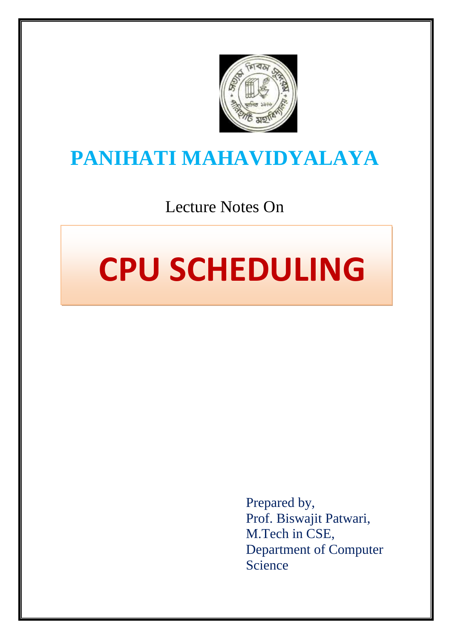

# **PANIHATI MAHAVIDYALAYA**

Lecture Notes On

# **CPU SCHEDULING**

Prepared by, Prof. Biswajit Patwari, M.Tech in CSE, Department of Computer Science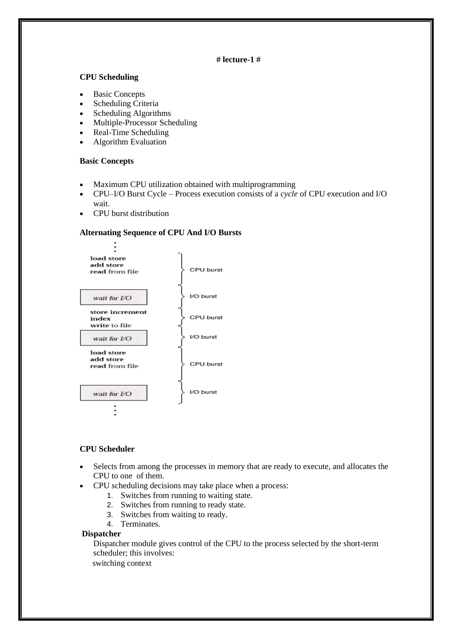#### **# lecture-1 #**

#### **CPU Scheduling**

- Basic Concepts
- Scheduling Criteria
- Scheduling Algorithms
- Multiple-Processor Scheduling
- Real-Time Scheduling
- Algorithm Evaluation

#### **Basic Concepts**

- Maximum CPU utilization obtained with multiprogramming
- CPU–I/O Burst Cycle Process execution consists of a *cycle* of CPU execution and I/O wait.
- CPU burst distribution

#### **Alternating Sequence of CPU And I/O Bursts**



#### **CPU Scheduler**

- Selects from among the processes in memory that are ready to execute, and allocates the CPU to one of them.
- CPU scheduling decisions may take place when a process:
	- 1. Switches from running to waiting state.
	- 2. Switches from running to ready state.
	- 3. Switches from waiting to ready.
	- 4. Terminates.

#### **Dispatcher**

Dispatcher module gives control of the CPU to the process selected by the short-term scheduler; this involves:

switching context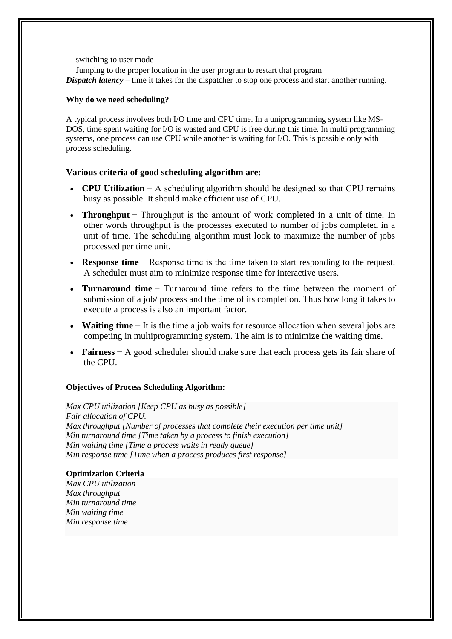switching to user mode

Jumping to the proper location in the user program to restart that program *Dispatch latency* – time it takes for the dispatcher to stop one process and start another running.

### **Why do we need scheduling?**

A typical process involves both I/O time and CPU time. In a uniprogramming system like MS-DOS, time spent waiting for I/O is wasted and CPU is free during this time. In multi programming systems, one process can use CPU while another is waiting for I/O. This is possible only with process scheduling.

# **Various criteria of good scheduling algorithm are:**

- **CPU Utilization** − A scheduling algorithm should be designed so that CPU remains busy as possible. It should make efficient use of CPU.
- **Throughput** Throughput is the amount of work completed in a unit of time. In other words throughput is the processes executed to number of jobs completed in a unit of time. The scheduling algorithm must look to maximize the number of jobs processed per time unit.
- **Response time** − Response time is the time taken to start responding to the request. A scheduler must aim to minimize response time for interactive users.
- **Turnaround time** − Turnaround time refers to the time between the moment of submission of a job/ process and the time of its completion. Thus how long it takes to execute a process is also an important factor.
- **Waiting time** − It is the time a job waits for resource allocation when several jobs are competing in multiprogramming system. The aim is to minimize the waiting time.
- **Fairness** − A good scheduler should make sure that each process gets its fair share of the CPU.

# **Objectives of Process Scheduling Algorithm:**

*Max CPU utilization [Keep CPU as busy as possible] Fair allocation of CPU. Max throughput [Number of processes that complete their execution per time unit] Min turnaround time [Time taken by a process to finish execution] Min waiting time [Time a process waits in ready queue] Min response time [Time when a process produces first response]*

# **Optimization Criteria**

*Max CPU utilization Max throughput Min turnaround time Min waiting time Min response time*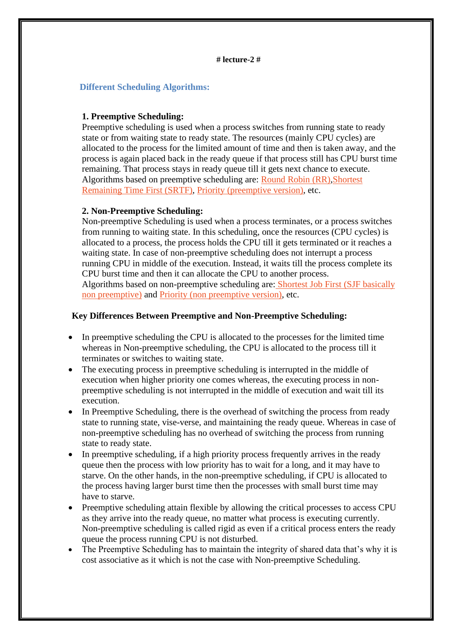#### **# lecture-2 #**

# **Different Scheduling Algorithms:**

# **1. Preemptive Scheduling:**

Preemptive scheduling is used when a process switches from running state to ready state or from waiting state to ready state. The resources (mainly CPU cycles) are allocated to the process for the limited amount of time and then is taken away, and the process is again placed back in the ready queue if that process still has CPU burst time remaining. That process stays in ready queue till it gets next chance to execute. Algorithms based on preemptive scheduling are: [Round](https://www.geeksforgeeks.org/program-round-robin-scheduling-set-1/) Robin (RR)[,Shortest](https://www.geeksforgeeks.org/program-shortest-job-first-scheduling-set-2srtf-make-changesdoneplease-review/) [Remaining](https://www.geeksforgeeks.org/program-shortest-job-first-scheduling-set-2srtf-make-changesdoneplease-review/) Time First (SRTF), Priority [\(preemptive](https://www.geeksforgeeks.org/program-for-preemptive-priority-cpu-scheduling/) version), etc.

# **2. Non-Preemptive Scheduling:**

Non-preemptive Scheduling is used when a process terminates, or a process switches from running to waiting state. In this scheduling, once the resources (CPU cycles) is allocated to a process, the process holds the CPU till it gets terminated or it reaches a waiting state. In case of non-preemptive scheduling does not interrupt a process running CPU in middle of the execution. Instead, it waits till the process complete its CPU burst time and then it can allocate the CPU to another process. Algorithms based on non-preemptive scheduling are: Shortest Job First (SJF [basically](https://www.geeksforgeeks.org/program-shortest-job-first-sjf-scheduling-set-1-non-preemptive/)

non [preemptive\)](https://www.geeksforgeeks.org/program-shortest-job-first-sjf-scheduling-set-1-non-preemptive/) and Priority (non [preemptive](https://www.geeksforgeeks.org/operating-system-priority-scheduling-different-arrival-time-set-2/) version), etc.

## **Key Differences Between Preemptive and Non-Preemptive Scheduling:**

- In preemptive scheduling the CPU is allocated to the processes for the limited time whereas in Non-preemptive scheduling, the CPU is allocated to the process till it terminates or switches to waiting state.
- The executing process in preemptive scheduling is interrupted in the middle of execution when higher priority one comes whereas, the executing process in nonpreemptive scheduling is not interrupted in the middle of execution and wait till its execution.
- In Preemptive Scheduling, there is the overhead of switching the process from ready state to running state, vise-verse, and maintaining the ready queue. Whereas in case of non-preemptive scheduling has no overhead of switching the process from running state to ready state.
- In preemptive scheduling, if a high priority process frequently arrives in the ready queue then the process with low priority has to wait for a long, and it may have to starve. On the other hands, in the non-preemptive scheduling, if CPU is allocated to the process having larger burst time then the processes with small burst time may have to starve.
- Preemptive scheduling attain flexible by allowing the critical processes to access CPU as they arrive into the ready queue, no matter what process is executing currently. Non-preemptive scheduling is called rigid as even if a critical process enters the ready queue the process running CPU is not disturbed.
- The Preemptive Scheduling has to maintain the integrity of shared data that's why it is cost associative as it which is not the case with Non-preemptive Scheduling.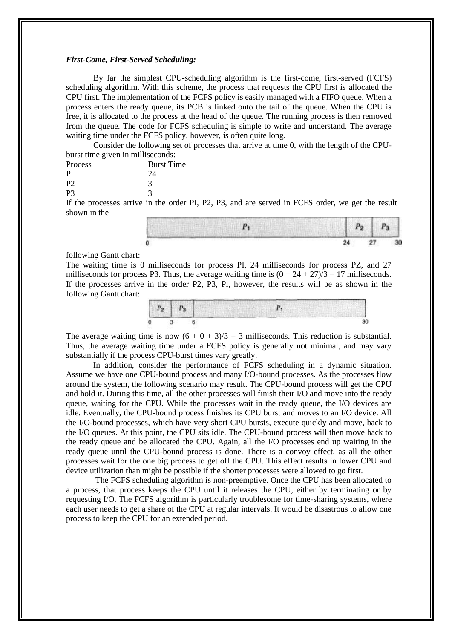#### *First-Come, First-Served Scheduling:*

By far the simplest CPU-scheduling algorithm is the first-come, first-served (FCFS) scheduling algorithm. With this scheme, the process that requests the CPU first is allocated the CPU first. The implementation of the FCFS policy is easily managed with a FIFO queue. When a process enters the ready queue, its PCB is linked onto the tail of the queue. When the CPU is free, it is allocated to the process at the head of the queue. The running process is then removed from the queue. The code for FCFS scheduling is simple to write and understand. The average waiting time under the FCFS policy, however, is often quite long.

Consider the following set of processes that arrive at time 0, with the length of the CPUburst time given in milliseconds:

| Process        | <b>Burst Time</b> |
|----------------|-------------------|
| PI             | 24                |
| P <sub>2</sub> | 3                 |
| P3             | 3                 |
|                |                   |

If the processes arrive in the order PI, P2, P3, and are served in FCFS order, we get the result shown in the

| $^{12}$ | $P_2$ |    | $P_3$ |
|---------|-------|----|-------|
|         | 74    | -- | 30    |

following Gantt chart:

The waiting time is 0 milliseconds for process PI, 24 milliseconds for process PZ, and 27 milliseconds for process P3. Thus, the average waiting time is  $(0 + 24 + 27)/3 = 17$  milliseconds. If the processes arrive in the order P2, P3, Pl, however, the results will be as shown in the following Gantt chart:



The average waiting time is now  $(6 + 0 + 3)/3 = 3$  milliseconds. This reduction is substantial. Thus, the average waiting time under a FCFS policy is generally not minimal, and may vary substantially if the process CPU-burst times vary greatly.

In addition, consider the performance of FCFS scheduling in a dynamic situation. Assume we have one CPU-bound process and many I/O-bound processes. As the processes flow around the system, the following scenario may result. The CPU-bound process will get the CPU and hold it. During this time, all the other processes will finish their I/O and move into the ready queue, waiting for the CPU. While the processes wait in the ready queue, the I/O devices are idle. Eventually, the CPU-bound process finishes its CPU burst and moves to an I/O device. All the I/O-bound processes, which have very short CPU bursts, execute quickly and move, back to the I/O queues. At this point, the CPU sits idle. The CPU-bound process will then move back to the ready queue and be allocated the CPU. Again, all the I/O processes end up waiting in the ready queue until the CPU-bound process is done. There is a convoy effect, as all the other processes wait for the one big process to get off the CPU. This effect results in lower CPU and device utilization than might be possible if the shorter processes were allowed to go first.

The FCFS scheduling algorithm is non-preemptive. Once the CPU has been allocated to a process, that process keeps the CPU until it releases the CPU, either by terminating or by requesting I/O. The FCFS algorithm is particularly troublesome for time-sharing systems, where each user needs to get a share of the CPU at regular intervals. It would be disastrous to allow one process to keep the CPU for an extended period.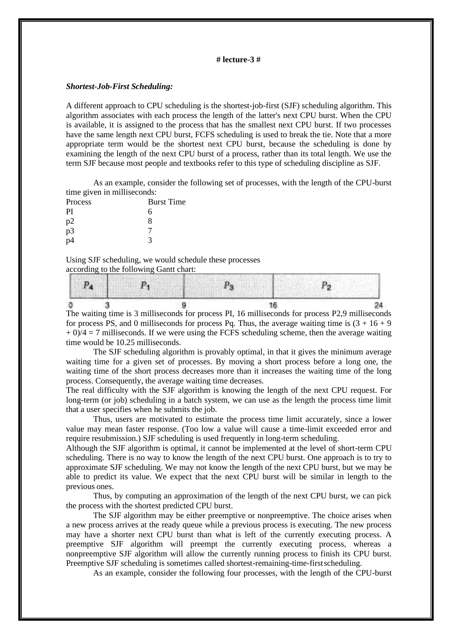#### **# lecture-3 #**

#### *Shortest-Job-First Scheduling:*

A different approach to CPU scheduling is the shortest-job-first (SJF) scheduling algorithm. This algorithm associates with each process the length of the latter's next CPU burst. When the CPU is available, it is assigned to the process that has the smallest next CPU burst. If two processes have the same length next CPU burst, FCFS scheduling is used to break the tie. Note that a more appropriate term would be the shortest next CPU burst, because the scheduling is done by examining the length of the next CPU burst of a process, rather than its total length. We use the term SJF because most people and textbooks refer to this type of scheduling discipline as SJF.

As an example, consider the following set of processes, with the length of the CPU-burst time given in milliseconds:

| Process | <b>Burst Time</b> |
|---------|-------------------|
| PI      | 6                 |
| p2      | 8                 |
| p3      |                   |
| p4      | 3                 |

Using SJF scheduling, we would schedule these processes according to the following Gantt chart:

| ------ | <b>The Secretary Control of the Secretary Control Control Control Control Control Control Control Control Control</b> | <b>CONTRACT AND RESIDENTS OF ANY</b> | the property of the first party of the property<br>The control of the control of the |  |
|--------|-----------------------------------------------------------------------------------------------------------------------|--------------------------------------|--------------------------------------------------------------------------------------|--|

The waiting time is 3 milliseconds for process PI, 16 milliseconds for process P2,9 milliseconds for process PS, and 0 milliseconds for process Pq. Thus, the average waiting time is  $(3 + 16 + 9)$  $+ 0$ / $4 = 7$  milliseconds. If we were using the FCFS scheduling scheme, then the average waiting time would be 10.25 milliseconds.

The SJF scheduling algorithm is provably optimal, in that it gives the minimum average waiting time for a given set of processes. By moving a short process before a long one, the waiting time of the short process decreases more than it increases the waiting time of the long process. Consequently, the average waiting time decreases.

The real difficulty with the SJF algorithm is knowing the length of the next CPU request. For long-term (or job) scheduling in a batch system, we can use as the length the process time limit that a user specifies when he submits the job.

Thus, users are motivated to estimate the process time limit accurately, since a lower value may mean faster response. (Too low a value will cause a time-limit exceeded error and require resubmission.) SJF scheduling is used frequently in long-term scheduling.

Although the SJF algorithm is optimal, it cannot be implemented at the level of short-term CPU scheduling. There is no way to know the length of the next CPU burst. One approach is to try to approximate SJF scheduling. We may not know the length of the next CPU burst, but we may be able to predict its value. We expect that the next CPU burst will be similar in length to the previous ones.

Thus, by computing an approximation of the length of the next CPU burst, we can pick the process with the shortest predicted CPU burst.

The SJF algorithm may be either preemptive or nonpreemptive. The choice arises when a new process arrives at the ready queue while a previous process is executing. The new process may have a shorter next CPU burst than what is left of the currently executing process. A preemptive SJF algorithm will preempt the currently executing process, whereas a nonpreemptive SJF algorithm will allow the currently running process to finish its CPU burst. Preemptive SJF scheduling is sometimes called shortest-remaining-time-firstscheduling.

As an example, consider the following four processes, with the length of the CPU-burst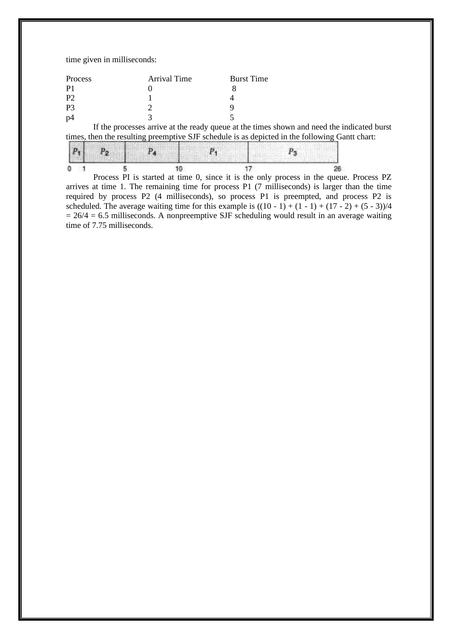time given in milliseconds:

| Process        | Arrival Time | <b>Burst Time</b> |
|----------------|--------------|-------------------|
| P <sub>1</sub> |              |                   |
| <b>P2</b>      |              |                   |
| P <sub>3</sub> |              |                   |
| p4             |              |                   |

If the processes arrive at the ready queue at the times shown and need the indicated burst times, then the resulting preemptive SJF schedule is as depicted in the following Gantt chart:

|    | $P_1$ $P_2$ | $P_4$ |  |    |
|----|-------------|-------|--|----|
| -0 |             |       |  | 26 |

Process PI is started at time 0, since it is the only process in the queue. Process PZ arrives at time 1. The remaining time for process P1 (7 milliseconds) is larger than the time required by process P2 (4 milliseconds), so process P1 is preempted, and process P2 is scheduled. The average waiting time for this example is  $((10 - 1) + (1 - 1) + (17 - 2) + (5 - 3))/4$  $= 26/4 = 6.5$  milliseconds. A nonpreemptive SJF scheduling would result in an average waiting time of 7.75 milliseconds.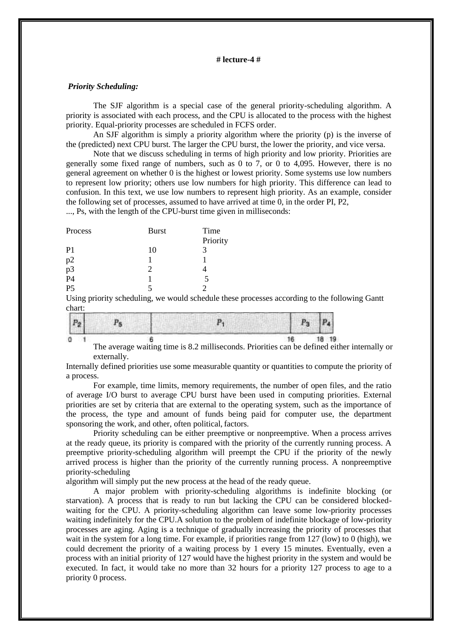#### **# lecture-4 #**

#### *Priority Scheduling:*

The SJF algorithm is a special case of the general priority-scheduling algorithm. A priority is associated with each process, and the CPU is allocated to the process with the highest priority. Equal-priority processes are scheduled in FCFS order.

An SJF algorithm is simply a priority algorithm where the priority (p) is the inverse of the (predicted) next CPU burst. The larger the CPU burst, the lower the priority, and vice versa.

Note that we discuss scheduling in terms of high priority and low priority. Priorities are generally some fixed range of numbers, such as 0 to 7, or 0 to 4,095. However, there is no general agreement on whether 0 is the highest or lowest priority. Some systems use low numbers to represent low priority; others use low numbers for high priority. This difference can lead to confusion. In this text, we use low numbers to represent high priority. As an example, consider the following set of processes, assumed to have arrived at time 0, in the order PI, P2,

..., Ps, with the length of the CPU-burst time given in milliseconds:

| Process              | <b>Burst</b> | Time     |
|----------------------|--------------|----------|
|                      |              | Priority |
| P <sub>1</sub>       | 10           | 3        |
| $p2$<br>$p3$<br>$p4$ |              |          |
|                      | 2            |          |
|                      |              | 5        |
| P <sub>5</sub>       |              |          |

Using priority scheduling, we would schedule these processes according to the following Gantt chart:

|   |                                                                  |    | D.                                     | $ p_{\lambda} $                                                                          |
|---|------------------------------------------------------------------|----|----------------------------------------|------------------------------------------------------------------------------------------|
| о | the contract of the contract of<br>the control of the control of | 16 | the state of the state of the state of | 18 19<br>the contract of the contract of the contract of the contract of the contract of |

The average waiting time is 8.2 milliseconds. Priorities can be defined either internally or externally.

Internally defined priorities use some measurable quantity or quantities to compute the priority of a process.

For example, time limits, memory requirements, the number of open files, and the ratio of average I/O burst to average CPU burst have been used in computing priorities. External priorities are set by criteria that are external to the operating system, such as the importance of the process, the type and amount of funds being paid for computer use, the department sponsoring the work, and other, often political, factors.

Priority scheduling can be either preemptive or nonpreemptive. When a process arrives at the ready queue, its priority is compared with the priority of the currently running process. A preemptive priority-scheduling algorithm will preempt the CPU if the priority of the newly arrived process is higher than the priority of the currently running process. A nonpreemptive priority-scheduling

algorithm will simply put the new process at the head of the ready queue.

A major problem with priority-scheduling algorithms is indefinite blocking (or starvation). A process that is ready to run but lacking the CPU can be considered blockedwaiting for the CPU. A priority-scheduling algorithm can leave some low-priority processes waiting indefinitely for the CPU.A solution to the problem of indefinite blockage of low-priority processes are aging. Aging is a technique of gradually increasing the priority of processes that wait in the system for a long time. For example, if priorities range from 127 (low) to 0 (high), we could decrement the priority of a waiting process by 1 every 15 minutes. Eventually, even a process with an initial priority of 127 would have the highest priority in the system and would be executed. In fact, it would take no more than 32 hours for a priority 127 process to age to a priority 0 process.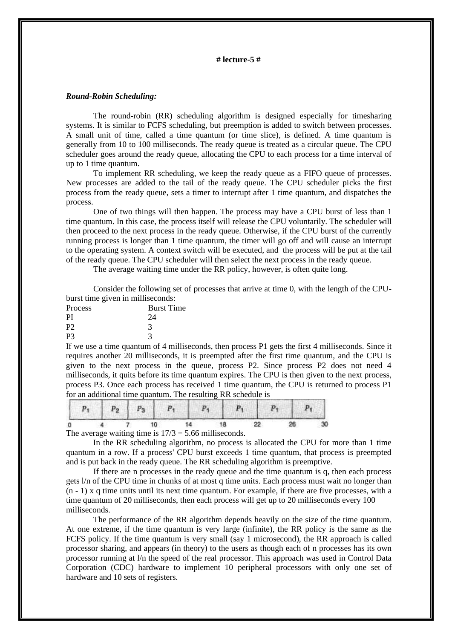#### **# lecture-5 #**

#### *Round-Robin Scheduling:*

The round-robin (RR) scheduling algorithm is designed especially for timesharing systems. It is similar to FCFS scheduling, but preemption is added to switch between processes. A small unit of time, called a time quantum (or time slice), is defined. A time quantum is generally from 10 to 100 milliseconds. The ready queue is treated as a circular queue. The CPU scheduler goes around the ready queue, allocating the CPU to each process for a time interval of up to 1 time quantum.

To implement RR scheduling, we keep the ready queue as a FIFO queue of processes. New processes are added to the tail of the ready queue. The CPU scheduler picks the first process from the ready queue, sets a timer to interrupt after 1 time quantum, and dispatches the process.

One of two things will then happen. The process may have a CPU burst of less than 1 time quantum. In this case, the process itself will release the CPU voluntarily. The scheduler will then proceed to the next process in the ready queue. Otherwise, if the CPU burst of the currently running process is longer than 1 time quantum, the timer will go off and will cause an interrupt to the operating system. A context switch will be executed, and the process will be put at the tail of the ready queue. The CPU scheduler will then select the next process in the ready queue.

The average waiting time under the RR policy, however, is often quite long.

Consider the following set of processes that arrive at time 0, with the length of the CPUburst time given in milliseconds:

| Process        | <b>Burst Time</b> |
|----------------|-------------------|
| PI             | 24                |
| <b>P2</b>      | 3                 |
| P <sub>3</sub> | 3                 |

If we use a time quantum of 4 milliseconds, then process P1 gets the first 4 milliseconds. Since it requires another 20 milliseconds, it is preempted after the first time quantum, and the CPU is given to the next process in the queue, process P2. Since process P2 does not need 4 milliseconds, it quits before its time quantum expires. The CPU is then given to the next process, process P3. Once each process has received 1 time quantum, the CPU is returned to process P1 for an additional time quantum. The resulting RR schedule is

|  |  | $P_1$ $P_2$ $P_3$ $P_1$ | $P_{4}$ |  |    |
|--|--|-------------------------|---------|--|----|
|  |  |                         |         |  | 30 |

The average waiting time is  $17/3 = 5.66$  milliseconds.

In the RR scheduling algorithm, no process is allocated the CPU for more than 1 time quantum in a row. If a process' CPU burst exceeds 1 time quantum, that process is preempted and is put back in the ready queue. The RR scheduling algorithm is preemptive.

If there are n processes in the ready queue and the time quantum is q, then each process gets l/n of the CPU time in chunks of at most q time units. Each process must wait no longer than  $(n - 1)$  x q time units until its next time quantum. For example, if there are five processes, with a time quantum of 20 milliseconds, then each process will get up to 20 milliseconds every 100 milliseconds.

The performance of the RR algorithm depends heavily on the size of the time quantum. At one extreme, if the time quantum is very large (infinite), the RR policy is the same as the FCFS policy. If the time quantum is very small (say 1 microsecond), the RR approach is called processor sharing, and appears (in theory) to the users as though each of n processes has its own processor running at l/n the speed of the real processor. This approach was used in Control Data Corporation (CDC) hardware to implement 10 peripheral processors with only one set of hardware and 10 sets of registers.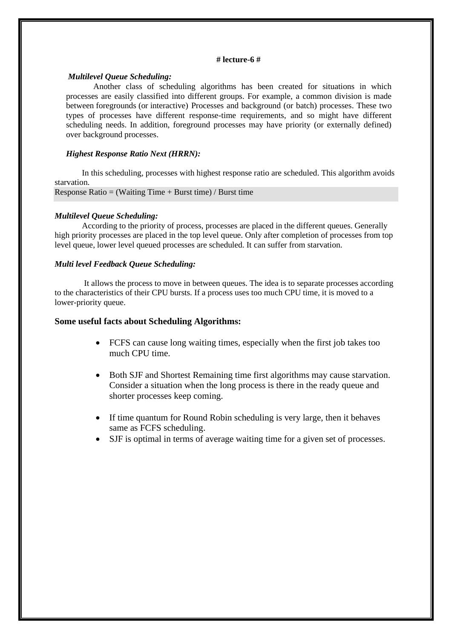#### **# lecture-6 #**

#### *Multilevel Queue Scheduling:*

Another class of scheduling algorithms has been created for situations in which processes are easily classified into different groups. For example, a common division is made between foregrounds (or interactive) Processes and background (or batch) processes. These two types of processes have different response-time requirements, and so might have different scheduling needs. In addition, foreground processes may have priority (or externally defined) over background processes.

#### *[Highest Response Ratio Next \(HRRN\):](https://www.geeksforgeeks.org/operating-system-highest-response-ratio-next-hrrn-scheduling/)*

In this scheduling, processes with highest response ratio are scheduled. This algorithm avoids starvation.

Response Ratio = (Waiting Time  $+$  Burst time) / Burst time

#### *[Multilevel Queue Scheduling:](https://www.geeksforgeeks.org/operating-system-multilevel-queue-scheduling/)*

According to the priority of process, processes are placed in the different queues. Generally high priority processes are placed in the top level queue. Only after completion of processes from top level queue, lower level queued processes are scheduled. It can suffer from starvation.

#### *[Multi level Feedback Queue Scheduling:](https://www.geeksforgeeks.org/multilevel-feedback-queue-scheduling/)*

It allows the process to move in between queues. The idea is to separate processes according to the characteristics of their CPU bursts. If a process uses too much CPU time, it is moved to a lower-priority queue.

#### **Some useful facts about Scheduling Algorithms:**

- FCFS can cause long waiting times, especially when the first job takes too much CPU time.
- Both SJF and Shortest Remaining time first algorithms may cause starvation. Consider a situation when the long process is there in the ready queue and shorter processes keep coming.
- If time quantum for Round Robin scheduling is very large, then it behaves same as FCFS scheduling.
- SJF is optimal in terms of average waiting time for a given set of processes.